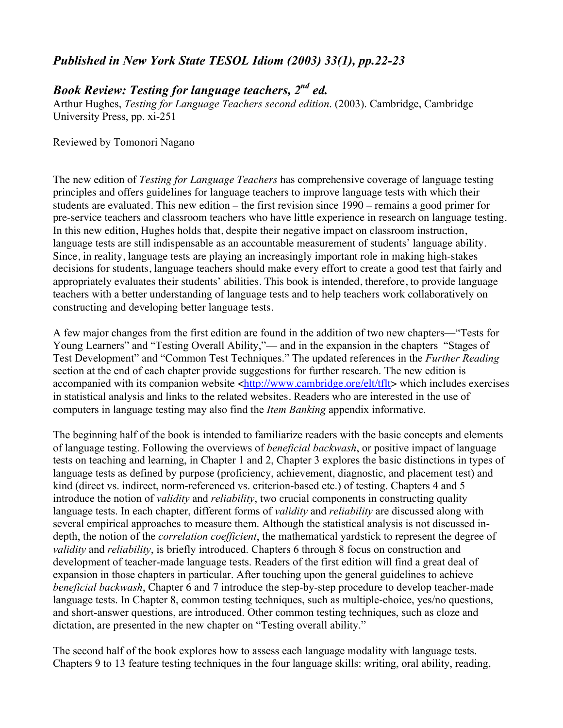## *Published in New York State TESOL Idiom (2003) 33(1), pp.22-23*

## *Book Review: Testing for language teachers, 2nd ed.*

Arthur Hughes, *Testing for Language Teachers second edition*. (2003). Cambridge, Cambridge University Press, pp. xi-251

Reviewed by Tomonori Nagano

The new edition of *Testing for Language Teachers* has comprehensive coverage of language testing principles and offers guidelines for language teachers to improve language tests with which their students are evaluated. This new edition – the first revision since 1990 – remains a good primer for pre-service teachers and classroom teachers who have little experience in research on language testing. In this new edition, Hughes holds that, despite their negative impact on classroom instruction, language tests are still indispensable as an accountable measurement of students' language ability. Since, in reality, language tests are playing an increasingly important role in making high-stakes decisions for students, language teachers should make every effort to create a good test that fairly and appropriately evaluates their students' abilities. This book is intended, therefore, to provide language teachers with a better understanding of language tests and to help teachers work collaboratively on constructing and developing better language tests.

A few major changes from the first edition are found in the addition of two new chapters—"Tests for Young Learners" and "Testing Overall Ability,"— and in the expansion in the chapters "Stages of Test Development" and "Common Test Techniques." The updated references in the *Further Reading* section at the end of each chapter provide suggestions for further research. The new edition is accompanied with its companion website <http://www.cambridge.org/elt/tflt> which includes exercises in statistical analysis and links to the related websites. Readers who are interested in the use of computers in language testing may also find the *Item Banking* appendix informative.

The beginning half of the book is intended to familiarize readers with the basic concepts and elements of language testing. Following the overviews of *beneficial backwash*, or positive impact of language tests on teaching and learning, in Chapter 1 and 2, Chapter 3 explores the basic distinctions in types of language tests as defined by purpose (proficiency, achievement, diagnostic, and placement test) and kind (direct vs. indirect, norm-referenced vs. criterion-based etc.) of testing. Chapters 4 and 5 introduce the notion of *validity* and *reliability*, two crucial components in constructing quality language tests. In each chapter, different forms of *validity* and *reliability* are discussed along with several empirical approaches to measure them. Although the statistical analysis is not discussed indepth, the notion of the *correlation coefficient*, the mathematical yardstick to represent the degree of *validity* and *reliability*, is briefly introduced. Chapters 6 through 8 focus on construction and development of teacher-made language tests. Readers of the first edition will find a great deal of expansion in those chapters in particular. After touching upon the general guidelines to achieve *beneficial backwash*, Chapter 6 and 7 introduce the step-by-step procedure to develop teacher-made language tests. In Chapter 8, common testing techniques, such as multiple-choice, yes/no questions, and short-answer questions, are introduced. Other common testing techniques, such as cloze and dictation, are presented in the new chapter on "Testing overall ability."

The second half of the book explores how to assess each language modality with language tests. Chapters 9 to 13 feature testing techniques in the four language skills: writing, oral ability, reading,